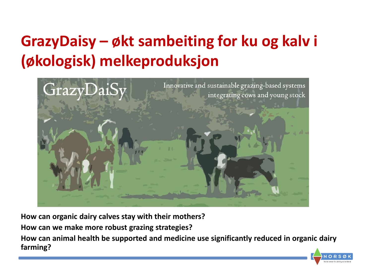# **GrazyDaisy – økt sambeiting for ku og kalv i (økologisk) melkeproduksjon**



**How can organic dairy calves stay with their mothers?** 

**How can we make more robust grazing strategies?**

**How can animal health be supported and medicine use significantly reduced in organic dairy farming?** 

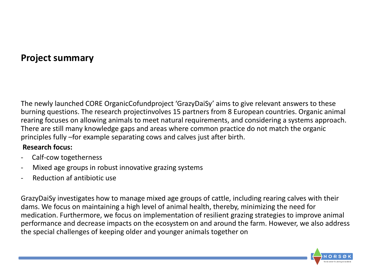#### **Project summary**

The newly launched CORE OrganicCofundproject 'GrazyDaiSy' aims to give relevant answers to these burning questions. The research projectinvolves 15 partners from 8 European countries. Organic animal rearing focuses on allowing animals to meet natural requirements, and considering a systems approach. There are still many knowledge gaps and areas where common practice do not match the organic principles fully –for example separating cows and calves just after birth.

#### **Research focus:**

- Calf-cow togetherness
- Mixed age groups in robust innovative grazing systems
- Reduction af antibiotic use

GrazyDaiSy investigates how to manage mixed age groups of cattle, including rearing calves with their dams. We focus on maintaining a high level of animal health, thereby, minimizing the need for medication. Furthermore, we focus on implementation of resilient grazing strategies to improve animal performance and decrease impacts on the ecosystem on and around the farm. However, we also address the special challenges of keeping older and younger animals together on

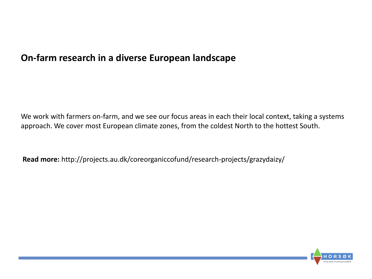#### **On-farm research in a diverse European landscape**

We work with farmers on-farm, and we see our focus areas in each their local context, taking a systems approach. We cover most European climate zones, from the coldest North to the hottest South.

**Read more:** http://projects.au.dk/coreorganiccofund/research-projects/grazydaizy/

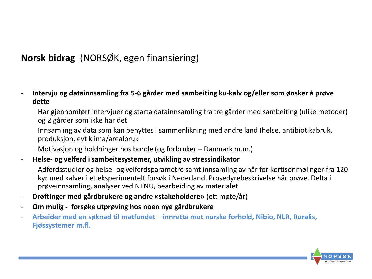## **Norsk bidrag** (NORSØK, egen finansiering)

- **Intervju og datainnsamling fra 5-6 gårder med sambeiting ku-kalv og/eller som ønsker å prøve dette**

Har gjennomført intervjuer og starta datainnsamling fra tre gårder med sambeiting (ulike metoder) og 2 gårder som ikke har det

Innsamling av data som kan benyttes i sammenlikning med andre land (helse, antibiotikabruk, produksjon, evt klima/arealbruk

Motivasjon og holdninger hos bonde (og forbruker – Danmark m.m.)

- **Helse- og velferd i sambeitesystemer, utvikling av stressindikator**

Adferdsstudier og helse- og velferdsparametre samt innsamling av hår for kortisonmølinger fra 120 kyr med kalver i et eksperimentelt forsøk i Nederland. Prosedyrebeskrivelse hår prøve. Delta i prøveinnsamling, analyser ved NTNU, bearbeiding av materialet

- **Drøftinger med gårdbrukere og andre «stakeholdere»** (ett møte/år)
- **Om mulig - forsøke utprøving hos noen nye gårdbrukere**
- **Arbeider med en søknad til matfondet – innretta mot norske forhold, Nibio, NLR, Ruralis, Fjøssystemer m.fl.**

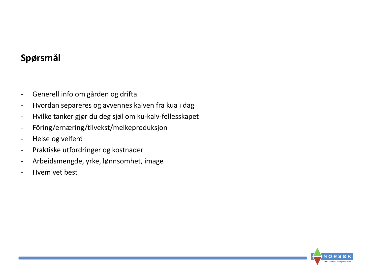### **Spørsmål**

- Generell info om gården og drifta
- Hvordan separeres og avvennes kalven fra kua i dag
- Hvilke tanker gjør du deg sjøl om ku-kalv-fellesskapet
- Fôring/ernæring/tilvekst/melkeproduksjon
- Helse og velferd
- Praktiske utfordringer og kostnader
- Arbeidsmengde, yrke, lønnsomhet, image
- Hvem vet best